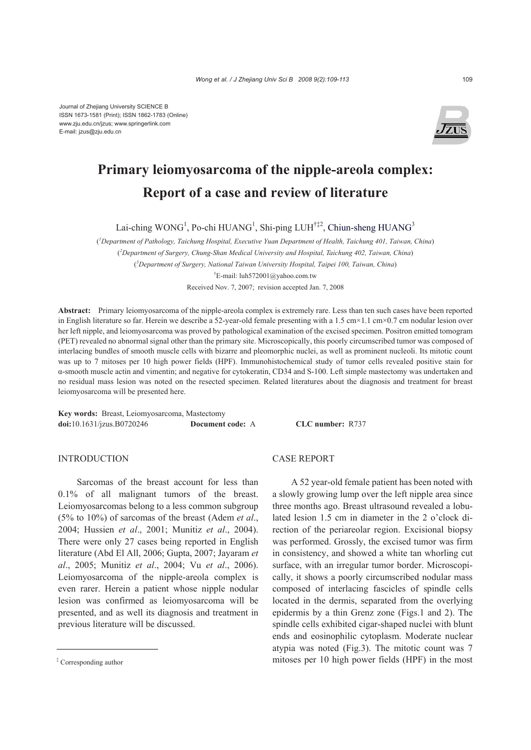

# **Primary leiomyosarcoma of the nipple-areola complex: Report of a case and review of literature**

Lai-ching WONG<sup>1</sup>, Po-chi HUANG<sup>1</sup>, Shi-ping LUH<sup>†‡2</sup>, Chiun-sheng HUANG<sup>3</sup>

( *1 Department of Pathology, Taichung Hospital, Executive Yuan Department of Health, Taichung 401, Taiwan, China*) ( *2 Department of Surgery, Chung-Shan Medical University and Hospital, Taichung 402, Taiwan, China*) ( *3 Department of Surgery, National Taiwan University Hospital, Taipei 100, Taiwan, China*) † E-mail: luh572001@yahoo.com.tw

Received Nov. 7, 2007; revision accepted Jan. 7, 2008

**Abstract:** Primary leiomyosarcoma of the nipple-areola complex is extremely rare. Less than ten such cases have been reported in English literature so far. Herein we describe a 52-year-old female presenting with a 1.5 cm×1.1 cm×0.7 cm nodular lesion over her left nipple, and leiomyosarcoma was proved by pathological examination of the excised specimen. Positron emitted tomogram (PET) revealed no abnormal signal other than the primary site. Microscopically, this poorly circumscribed tumor was composed of interlacing bundles of smooth muscle cells with bizarre and pleomorphic nuclei, as well as prominent nucleoli. Its mitotic count was up to 7 mitoses per 10 high power fields (HPF). Immunohistochemical study of tumor cells revealed positive stain for α-smooth muscle actin and vimentin; and negative for cytokeratin, CD34 and S-100. Left simple mastectomy was undertaken and no residual mass lesion was noted on the resected specimen. Related literatures about the diagnosis and treatment for breast leiomyosarcoma will be presented here.

**Key words:** Breast, Leiomyosarcoma, Mastectomy **doi:**10.1631/jzus.B0720246 **Document code:** A **CLC number:** R737

### **INTRODUCTION**

Sarcomas of the breast account for less than 0.1% of all malignant tumors of the breast. Leiomyosarcomas belong to a less common subgroup (5% to 10%) of sarcomas of the breast (Adem *et al*., 2004; Hussien *et al*., 2001; Munitiz *et al*., 2004). There were only 27 cases being reported in English literature (Abd El All, 2006; Gupta, 2007; Jayaram *et al*., 2005; Munitiz *et al*., 2004; Vu *et al*., 2006). Leiomyosarcoma of the nipple-areola complex is even rarer. Herein a patient whose nipple nodular lesion was confirmed as leiomyosarcoma will be presented, and as well its diagnosis and treatment in previous literature will be discussed.

## CASE REPORT

A 52 year-old female patient has been noted with a slowly growing lump over the left nipple area since three months ago. Breast ultrasound revealed a lobulated lesion 1.5 cm in diameter in the 2 o'clock direction of the periareolar region. Excisional biopsy was performed. Grossly, the excised tumor was firm in consistency, and showed a white tan whorling cut surface, with an irregular tumor border. Microscopically, it shows a poorly circumscribed nodular mass composed of interlacing fascicles of spindle cells located in the dermis, separated from the overlying epidermis by a thin Grenz zone (Figs.1 and 2). The spindle cells exhibited cigar-shaped nuclei with blunt ends and eosinophilic cytoplasm. Moderate nuclear atypia was noted (Fig.3). The mitotic count was 7 mitoses per 10 high power fields (HPF) in the most

<sup>‡</sup> Corresponding author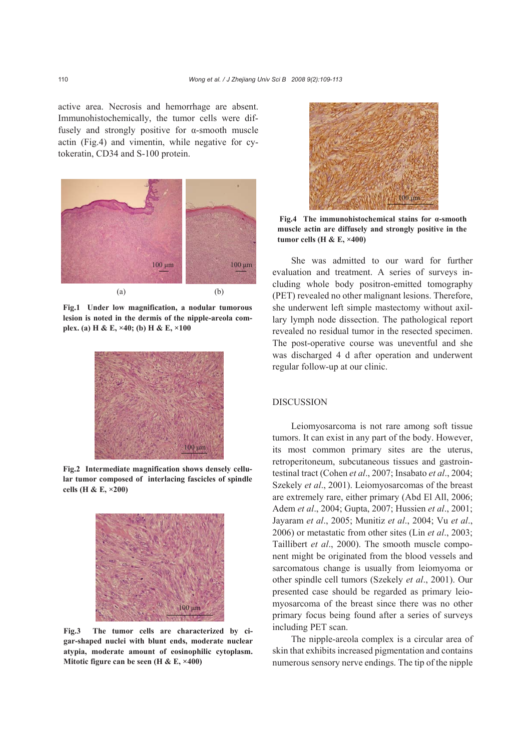active area. Necrosis and hemorrhage are absent. Immunohistochemically, the tumor cells were diffusely and strongly positive for α-smooth muscle actin (Fig.4) and vimentin, while negative for cytokeratin, CD34 and S-100 protein.



**Fig.1 Under low magnification, a nodular tumorous lesion is noted in the dermis of the nipple-areola complex. (a) H & E, ×40; (b) H & E, ×100** 



**Fig.2 Intermediate magnification shows densely cellular tumor composed of interlacing fascicles of spindle cells (H & E, ×200)** 



**Fig.3 The tumor cells are characterized by cigar-shaped nuclei with blunt ends, moderate nuclear atypia, moderate amount of eosinophilic cytoplasm. Mitotic figure can be seen (H & E, ×400)** 



 **Fig.4 The immunohistochemical stains for α-smooth muscle actin are diffusely and strongly positive in the tumor cells (H & E, ×400)** 

She was admitted to our ward for further evaluation and treatment. A series of surveys including whole body positron-emitted tomography (PET) revealed no other malignant lesions. Therefore, she underwent left simple mastectomy without axillary lymph node dissection. The pathological report revealed no residual tumor in the resected specimen. The post-operative course was uneventful and she was discharged 4 d after operation and underwent regular follow-up at our clinic.

#### DISCUSSION

Leiomyosarcoma is not rare among soft tissue tumors. It can exist in any part of the body. However, its most common primary sites are the uterus, retroperitoneum, subcutaneous tissues and gastrointestinal tract (Cohen *et al*., 2007; Insabato *et al*., 2004; Szekely *et al*., 2001). Leiomyosarcomas of the breast are extremely rare, either primary (Abd El All, 2006; Adem *et al*., 2004; Gupta, 2007; Hussien *et al*., 2001; Jayaram *et al*., 2005; Munitiz *et al*., 2004; Vu *et al*., 2006) or metastatic from other sites (Lin *et al*., 2003; Taillibert *et al*., 2000). The smooth muscle component might be originated from the blood vessels and sarcomatous change is usually from leiomyoma or other spindle cell tumors (Szekely *et al*., 2001). Our presented case should be regarded as primary leiomyosarcoma of the breast since there was no other primary focus being found after a series of surveys including PET scan.

The nipple-areola complex is a circular area of skin that exhibits increased pigmentation and contains numerous sensory nerve endings. The tip of the nipple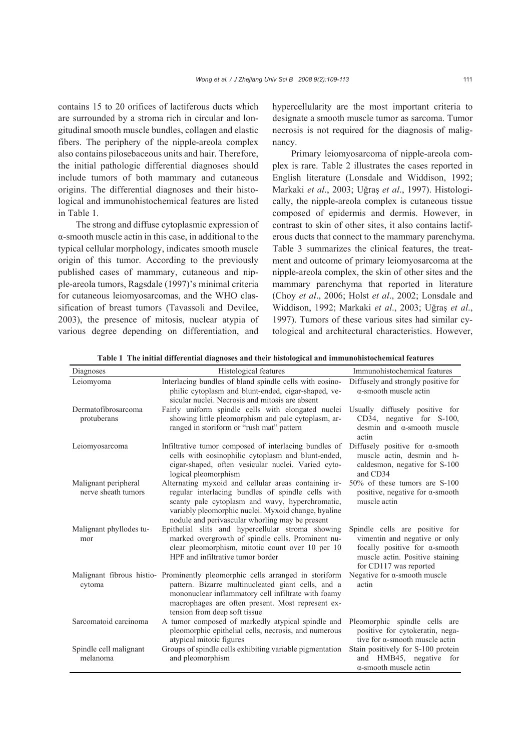contains 15 to 20 orifices of lactiferous ducts which are surrounded by a stroma rich in circular and longitudinal smooth muscle bundles, collagen and elastic fibers. The periphery of the nipple-areola complex also contains pilosebaceous units and hair. Therefore, the initial pathologic differential diagnoses should include tumors of both mammary and cutaneous origins. The differential diagnoses and their histological and immunohistochemical features are listed in Table 1.

The strong and diffuse cytoplasmic expression of α-smooth muscle actin in this case, in additional to the typical cellular morphology, indicates smooth muscle origin of this tumor. According to the previously published cases of mammary, cutaneous and nipple-areola tumors, Ragsdale (1997)'s minimal criteria for cutaneous leiomyosarcomas, and the WHO classification of breast tumors (Tavassoli and Devilee, 2003), the presence of mitosis, nuclear atypia of various degree depending on differentiation, and hypercellularity are the most important criteria to designate a smooth muscle tumor as sarcoma. Tumor necrosis is not required for the diagnosis of malignancy.

Primary leiomyosarcoma of nipple-areola complex is rare. Table 2 illustrates the cases reported in English literature (Lonsdale and Widdison, 1992; Markaki *et al*., 2003; Uğraş *et al*., 1997). Histologically, the nipple-areola complex is cutaneous tissue composed of epidermis and dermis. However, in contrast to skin of other sites, it also contains lactiferous ducts that connect to the mammary parenchyma. Table 3 summarizes the clinical features, the treatment and outcome of primary leiomyosarcoma at the nipple-areola complex, the skin of other sites and the mammary parenchyma that reported in literature (Choy *et al*., 2006; Holst *et al*., 2002; Lonsdale and Widdison, 1992; Markaki *et al*., 2003; Uğraş *et al*., 1997). Tumors of these various sites had similar cytological and architectural characteristics. However,

| Diagnoses                                   | Histological features                                                                                                                                                                                                                                                            | Immunohistochemical features                                                                                                                                          |
|---------------------------------------------|----------------------------------------------------------------------------------------------------------------------------------------------------------------------------------------------------------------------------------------------------------------------------------|-----------------------------------------------------------------------------------------------------------------------------------------------------------------------|
| Leiomyoma                                   | Interlacing bundles of bland spindle cells with eosino-<br>philic cytoplasm and blunt-ended, cigar-shaped, ve-<br>sicular nuclei. Necrosis and mitosis are absent                                                                                                                | Diffusely and strongly positive for<br>$\alpha$ -smooth muscle actin                                                                                                  |
| Dermatofibrosarcoma<br>protuberans          | Fairly uniform spindle cells with elongated nuclei<br>showing little pleomorphism and pale cytoplasm, ar-<br>ranged in storiform or "rush mat" pattern                                                                                                                           | Usually diffusely positive for<br>CD34, negative for S-100,<br>desmin and $\alpha$ -smooth muscle<br>actin                                                            |
| Leiomyosarcoma                              | Infiltrative tumor composed of interlacing bundles of<br>cells with eosinophilic cytoplasm and blunt-ended,<br>cigar-shaped, often vesicular nuclei. Varied cyto-<br>logical pleomorphism                                                                                        | Diffusely positive for $\alpha$ -smooth<br>muscle actin, desmin and h-<br>caldesmon, negative for S-100<br>and CD34                                                   |
| Malignant peripheral<br>nerve sheath tumors | Alternating myxoid and cellular areas containing ir-<br>regular interlacing bundles of spindle cells with<br>scanty pale cytoplasm and wavy, hyperchromatic,<br>variably pleomorphic nuclei. Myxoid change, hyaline<br>nodule and perivascular whorling may be present           | 50% of these tumors are S-100<br>positive, negative for $\alpha$ -smooth<br>muscle actin                                                                              |
| Malignant phyllodes tu-<br>mor              | Epithelial slits and hypercellular stroma showing<br>marked overgrowth of spindle cells. Prominent nu-<br>clear pleomorphism, mitotic count over 10 per 10<br>HPF and infiltrative tumor border                                                                                  | Spindle cells are positive for<br>vimentin and negative or only<br>focally positive for $\alpha$ -smooth<br>muscle actin. Positive staining<br>for CD117 was reported |
| cytoma                                      | Malignant fibrous histio- Prominently pleomorphic cells arranged in storiform<br>pattern. Bizarre multinucleated giant cells, and a<br>mononuclear inflammatory cell infiltrate with foamy<br>macrophages are often present. Most represent ex-<br>tension from deep soft tissue | Negative for $\alpha$ -smooth muscle<br>actin                                                                                                                         |
| Sarcomatoid carcinoma                       | A tumor composed of markedly atypical spindle and<br>pleomorphic epithelial cells, necrosis, and numerous<br>atypical mitotic figures                                                                                                                                            | Pleomorphic spindle cells are<br>positive for cytokeratin, nega-<br>tive for $\alpha$ -smooth muscle actin                                                            |
| Spindle cell malignant<br>melanoma          | Groups of spindle cells exhibiting variable pigmentation<br>and pleomorphism                                                                                                                                                                                                     | Stain positively for S-100 protein<br>and HMB45, negative<br>for<br>$\alpha$ -smooth muscle actin                                                                     |

**Table 1 The initial differential diagnoses and their histological and immunohistochemical features**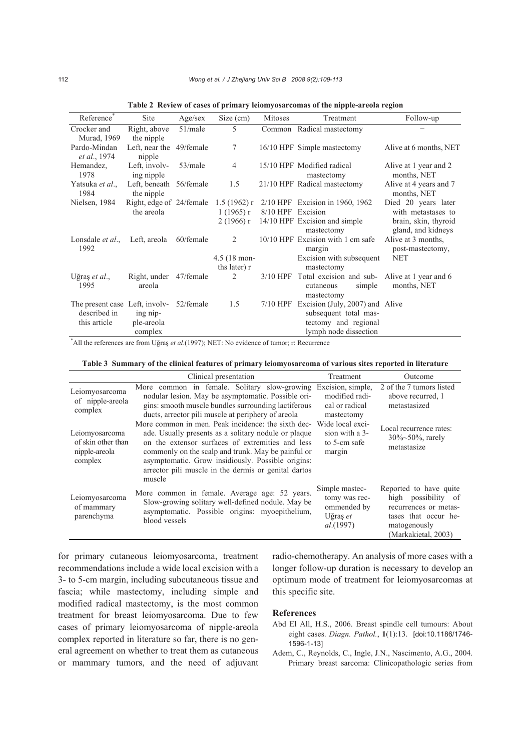| Reference                                                                | Site                                   | Age/sec    | Size $(cm)$                       | Mitoses           | Treatment                                                                                                          | Follow-up                                                                               |
|--------------------------------------------------------------------------|----------------------------------------|------------|-----------------------------------|-------------------|--------------------------------------------------------------------------------------------------------------------|-----------------------------------------------------------------------------------------|
| Crocker and<br><b>Murad</b> , 1969                                       | Right, above<br>the nipple             | $51$ /male | 5                                 |                   | Common Radical mastectomy                                                                                          |                                                                                         |
| Pardo-Mindan<br><i>et al.</i> , 1974                                     | Left, near the 49/female<br>nipple     |            | 7                                 |                   | 16/10 HPF Simple mastectomy                                                                                        | Alive at 6 months, NET                                                                  |
| Hemandez,<br>1978                                                        | Left, involv-<br>ing nipple            | $53$ /male | $\overline{4}$                    |                   | 15/10 HPF Modified radical<br>mastectomy                                                                           | Alive at 1 year and 2<br>months, NET                                                    |
| Yatsuka et al.,<br>1984                                                  | Left, beneath 56/female<br>the nipple  |            | 1.5                               |                   | 21/10 HPF Radical mastectomy                                                                                       | Alive at 4 years and 7<br>months, NET                                                   |
| Nielsen, 1984                                                            | Right, edge of 24/female<br>the areola |            | $1(1965)$ r<br>$2(1966)$ r        | 8/10 HPF Excision | 1.5 (1962) r $2/10$ HPF Excision in 1960, 1962<br>14/10 HPF Excision and simple<br>mastectomy                      | Died 20 years later<br>with metastases to<br>brain, skin, thyroid<br>gland, and kidneys |
| Lonsdale <i>et al.</i> ,<br>1992                                         | Left, areola                           | 60/female  | 2<br>4.5 (18 mon-<br>ths later) r |                   | 10/10 HPF Excision with 1 cm safe<br>margin<br>Excision with subsequent<br>mastectomy                              | Alive at 3 months,<br>post-mastectomy,<br><b>NET</b>                                    |
| Uğraş et al.,<br>1995                                                    | Right, under 47/female<br>areola       |            | 2                                 |                   | 3/10 HPF Total excision and sub- Alive at 1 year and 6<br>simple<br>cutaneous<br>mastectomy                        | months, NET                                                                             |
| The present case Left, involv- 52/female<br>described in<br>this article | ing nip-<br>ple-areola<br>complex      |            | 1.5                               |                   | 7/10 HPF Excision (July, 2007) and Alive<br>subsequent total mas-<br>tectomy and regional<br>lymph node dissection |                                                                                         |

**Table 2 Review of cases of primary leiomyosarcomas of the nipple-areola region**

\* All the references are from Uğraş *et al*.(1997); NET: No evidence of tumor; r: Recurrence

#### **Table 3 Summary of the clinical features of primary leiomyosarcoma of various sites reported in literature**

|                                                                  | Clinical presentation                                                                                                                                                                                                                                                                                                                                        | Treatment                                                               | Outcome                                                                                                                               |
|------------------------------------------------------------------|--------------------------------------------------------------------------------------------------------------------------------------------------------------------------------------------------------------------------------------------------------------------------------------------------------------------------------------------------------------|-------------------------------------------------------------------------|---------------------------------------------------------------------------------------------------------------------------------------|
| Leiomyosarcoma<br>of nipple-areola<br>complex                    | More common in female. Solitary slow-growing Excision, simple,<br>nodular lesion. May be asymptomatic. Possible ori-<br>gins: smooth muscle bundles surrounding lactiferous<br>ducts, arrector pili muscle at periphery of areola                                                                                                                            | modified radi-<br>cal or radical<br>mastectomy                          | 2 of the 7 tumors listed<br>above recurred, 1<br>metastasized                                                                         |
| Leiomyosarcoma<br>of skin other than<br>nipple-areola<br>complex | More common in men. Peak incidence: the sixth dec- Wide local exci-<br>ade. Usually presents as a solitary nodule or plaque<br>on the extensor surfaces of extremities and less<br>commonly on the scalp and trunk. May be painful or<br>asymptomatic. Grow insidiously. Possible origins:<br>arrector pili muscle in the dermis or genital dartos<br>muscle | sion with a 3-<br>to 5-cm safe<br>margin                                | Local recurrence rates:<br>$30\%~50\%$ , rarely<br>metastasize                                                                        |
| Leiomyosarcoma<br>of mammary<br>parenchyma                       | More common in female. Average age: 52 years.<br>Slow-growing solitary well-defined nodule. May be<br>asymptomatic. Possible origins: myoepithelium,<br>blood vessels                                                                                                                                                                                        | Simple mastec-<br>tomy was rec-<br>ommended by<br>Uğraş et<br>al.(1997) | Reported to have quite<br>high possibility of<br>recurrences or metas-<br>tases that occur he-<br>matogenously<br>(Markakietal, 2003) |

for primary cutaneous leiomyosarcoma, treatment recommendations include a wide local excision with a 3- to 5-cm margin, including subcutaneous tissue and fascia; while mastectomy, including simple and modified radical mastectomy, is the most common treatment for breast leiomyosarcoma. Due to few cases of primary leiomyosarcoma of nipple-areola complex reported in literature so far, there is no general agreement on whether to treat them as cutaneous or mammary tumors, and the need of adjuvant radio-chemotherapy. An analysis of more cases with a longer follow-up duration is necessary to develop an optimum mode of treatment for leiomyosarcomas at this specific site.

#### **References**

- Abd El All, H.S., 2006. Breast spindle cell tumours: About eight cases. *Diagn. Pathol.*, **1**(1):13. [doi:10.1186/1746- 1596-1-13]
- Adem, C., Reynolds, C., Ingle, J.N., Nascimento, A.G., 2004. Primary breast sarcoma: Clinicopathologic series from